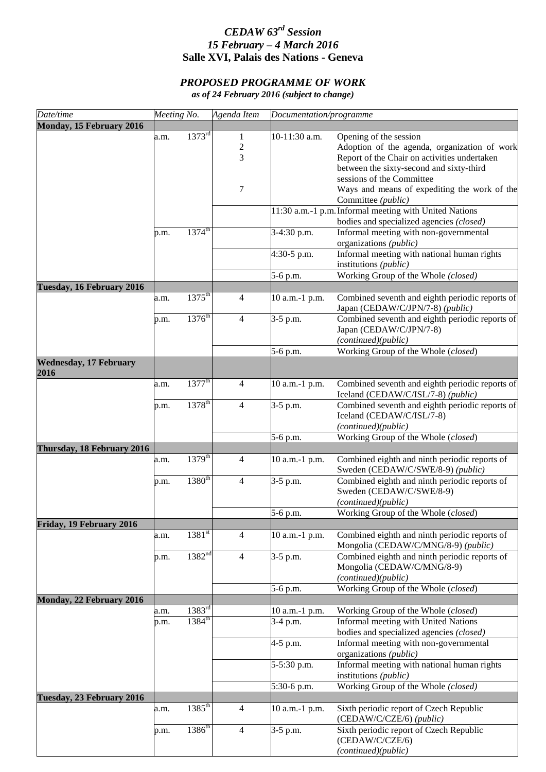## *CEDAW 63 rd Session 15 February – 4 March 2016* **Salle XVI, Palais des Nations - Geneva**

## *PROPOSED PROGRAMME OF WORK*

*as of 24 February 2016 (subject to change)*

| Date/time                     | Meeting No. |                    | Agenda Item             | Documentation/programme |                                                                                       |
|-------------------------------|-------------|--------------------|-------------------------|-------------------------|---------------------------------------------------------------------------------------|
| Monday, 15 February 2016      |             |                    |                         |                         |                                                                                       |
|                               | a.m.        | 1373 <sup>rd</sup> | 1                       | 10-11:30 a.m.           | Opening of the session                                                                |
|                               |             |                    | $\overline{\mathbf{c}}$ |                         | Adoption of the agenda, organization of work                                          |
|                               |             |                    | $\overline{3}$          |                         | Report of the Chair on activities undertaken                                          |
|                               |             |                    |                         |                         | between the sixty-second and sixty-third                                              |
|                               |             |                    |                         |                         | sessions of the Committee                                                             |
|                               |             |                    | 7                       |                         | Ways and means of expediting the work of the<br>Committee (public)                    |
|                               |             |                    |                         |                         | 11:30 a.m.-1 p.m. Informal meeting with United Nations                                |
|                               |             |                    |                         |                         | bodies and specialized agencies (closed)                                              |
|                               | p.m.        | $1374^{\text{th}}$ |                         | 3-4:30 p.m.             | Informal meeting with non-governmental<br>organizations (public)                      |
|                               |             |                    |                         | 4:30-5 p.m.             | Informal meeting with national human rights                                           |
|                               |             |                    |                         |                         | institutions ( <i>public</i> )                                                        |
| Tuesday, 16 February 2016     |             |                    |                         | 5-6 p.m.                | Working Group of the Whole (closed)                                                   |
|                               |             | $1375^{\text{th}}$ | 4                       |                         | Combined seventh and eighth periodic reports of                                       |
|                               | a.m.        |                    |                         | 10 a.m.-1 p.m.          | Japan (CEDAW/C/JPN/7-8) (public)                                                      |
|                               | p.m.        | $1376^{\text{th}}$ | $\overline{4}$          | 3-5 p.m.                | Combined seventh and eighth periodic reports of                                       |
|                               |             |                    |                         |                         | Japan (CEDAW/C/JPN/7-8)                                                               |
|                               |             |                    |                         |                         | (continued)(public)                                                                   |
|                               |             |                    |                         | 5-6 p.m.                | Working Group of the Whole (closed)                                                   |
| <b>Wednesday, 17 February</b> |             |                    |                         |                         |                                                                                       |
| 2016                          |             |                    |                         |                         |                                                                                       |
|                               | a.m.        | $1377^{\text{th}}$ | $\overline{4}$          | 10 a.m.-1 p.m.          | Combined seventh and eighth periodic reports of<br>Iceland (CEDAW/C/ISL/7-8) (public) |
|                               | p.m.        | $1378^{\text{th}}$ | $\overline{4}$          | 3-5 p.m.                | Combined seventh and eighth periodic reports of                                       |
|                               |             |                    |                         |                         | Iceland (CEDAW/C/ISL/7-8)                                                             |
|                               |             |                    |                         |                         | (continued)(public)                                                                   |
|                               |             |                    |                         |                         |                                                                                       |
|                               |             |                    |                         | 5-6 p.m.                | Working Group of the Whole (closed)                                                   |
| Thursday, 18 February 2016    |             |                    |                         |                         |                                                                                       |
|                               | a.m.        | $1379^{th}$        | $\overline{4}$          | 10 a.m.-1 p.m.          | Combined eighth and ninth periodic reports of<br>Sweden (CEDAW/C/SWE/8-9) (public)    |
|                               | p.m.        | $1380^{\text{th}}$ | $\overline{4}$          | 3-5 p.m.                | Combined eighth and ninth periodic reports of                                         |
|                               |             |                    |                         |                         | Sweden (CEDAW/C/SWE/8-9)                                                              |
|                               |             |                    |                         |                         | (continued)(public)                                                                   |
|                               |             |                    |                         | 5-6 p.m.                | Working Group of the Whole (closed)                                                   |
| Friday, 19 February 2016      |             |                    |                         |                         |                                                                                       |
|                               | a.m.        | $1381^{st}$        | $\overline{4}$          | 10 a.m.-1 p.m.          | Combined eighth and ninth periodic reports of                                         |
|                               |             | 1382 <sup>nd</sup> |                         |                         | Mongolia (CEDAW/C/MNG/8-9) (public)                                                   |
|                               | p.m.        |                    | $\overline{4}$          | 3-5 p.m.                | Combined eighth and ninth periodic reports of                                         |
|                               |             |                    |                         |                         | Mongolia (CEDAW/C/MNG/8-9)                                                            |
|                               |             |                    |                         |                         | (continued)(public)                                                                   |
|                               |             |                    |                         | 5-6 p.m.                | Working Group of the Whole (closed)                                                   |
| Monday, 22 February 2016      |             |                    |                         |                         |                                                                                       |
|                               | a.m.        | 1383 <sup>rd</sup> |                         | 10 a.m.-1 p.m.          | Working Group of the Whole (closed)                                                   |
|                               | p.m.        | $1384^{\text{th}}$ |                         | 3-4 p.m.                | <b>Informal meeting with United Nations</b>                                           |
|                               |             |                    |                         |                         | bodies and specialized agencies (closed)                                              |
|                               |             |                    |                         | 4-5 p.m.                | Informal meeting with non-governmental<br>organizations ( <i>public</i> )             |
|                               |             |                    |                         | 5-5:30 p.m.             | Informal meeting with national human rights                                           |
|                               |             |                    |                         |                         | institutions (public)                                                                 |
|                               |             |                    |                         | 5:30-6 p.m.             | Working Group of the Whole (closed)                                                   |
| Tuesday, 23 February 2016     |             |                    |                         |                         |                                                                                       |
|                               | a.m.        | $1385^{\text{th}}$ | $\overline{4}$          | 10 a.m.-1 p.m.          | Sixth periodic report of Czech Republic<br>(CEDAW/C/CZE/6) (public)                   |
|                               | p.m.        | $1386^{th}$        | $\overline{4}$          | 3-5 p.m.                | Sixth periodic report of Czech Republic                                               |
|                               |             |                    |                         |                         | (CEDAW/C/CZE/6)                                                                       |
|                               |             |                    |                         |                         | (continued)(public)                                                                   |